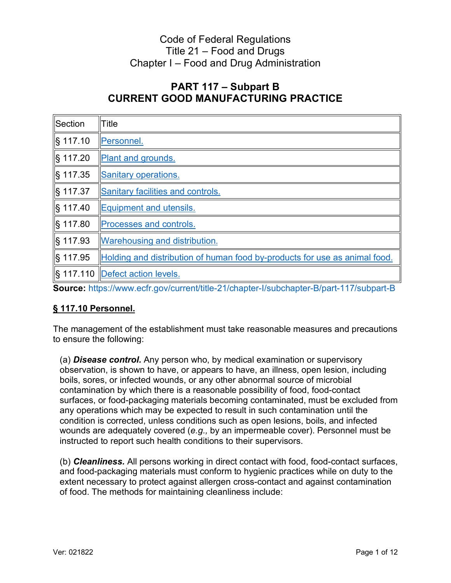# Title 21 – Food and Drugs Code of Federal Regulations Chapter I – Food and Drug Administration

## **PART 117 – Subpart B CURRENT GOOD MANUFACTURING PRACTICE**

| Section            | Title                                                                      |
|--------------------|----------------------------------------------------------------------------|
| S 117.10           | Personnel.                                                                 |
| S 117.20           | <b>Plant and grounds.</b>                                                  |
| S 117.35           | Sanitary operations.                                                       |
| S 117.37           | Sanitary facilities and controls.                                          |
| S 117.40           | Equipment and utensils.                                                    |
| S 117.80           | <b>Processes and controls.</b>                                             |
| S 117.93           | <b>Warehousing and distribution.</b>                                       |
| <u>   § 117.95</u> | Holding and distribution of human food by-products for use as animal food. |
|                    |                                                                            |

<span id="page-0-0"></span>**Source:** <https://www.ecfr.gov/current/title-21/chapter-I/subchapter-B/part-117/subpart-B>

## **§ 117.10 Personnel.**

The management of the establishment must take reasonable measures and precautions to ensure the following:

 boils, sores, or infected wounds, or any other abnormal source of microbial (a) *Disease control.* Any person who, by medical examination or supervisory observation, is shown to have, or appears to have, an illness, open lesion, including contamination by which there is a reasonable possibility of food, food-contact surfaces, or food-packaging materials becoming contaminated, must be excluded from any operations which may be expected to result in such contamination until the condition is corrected, unless conditions such as open lesions, boils, and infected wounds are adequately covered (*e.g.,* by an impermeable cover). Personnel must be instructed to report such health conditions to their supervisors.

(b) *Cleanliness.* All persons working in direct contact with food, food-contact surfaces, and food-packaging materials must conform to hygienic practices while on duty to the extent necessary to protect against allergen cross-contact and against contamination of food. The methods for maintaining cleanliness include: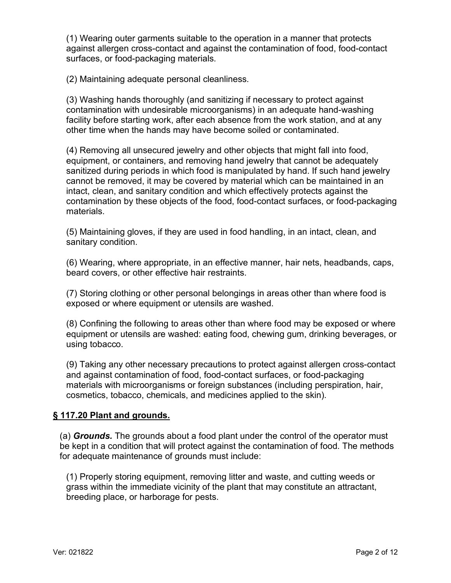(1) Wearing outer garments suitable to the operation in a manner that protects against allergen cross-contact and against the contamination of food, food-contact surfaces, or food-packaging materials.

(2) Maintaining adequate personal cleanliness.

 facility before starting work, after each absence from the work station, and at any (3) Washing hands thoroughly (and sanitizing if necessary to protect against contamination with undesirable microorganisms) in an adequate hand-washing other time when the hands may have become soiled or contaminated.

 (4) Removing all unsecured jewelry and other objects that might fall into food, sanitized during periods in which food is manipulated by hand. If such hand jewelry equipment, or containers, and removing hand jewelry that cannot be adequately cannot be removed, it may be covered by material which can be maintained in an intact, clean, and sanitary condition and which effectively protects against the contamination by these objects of the food, food-contact surfaces, or food-packaging materials.

(5) Maintaining gloves, if they are used in food handling, in an intact, clean, and sanitary condition.

(6) Wearing, where appropriate, in an effective manner, hair nets, headbands, caps, beard covers, or other effective hair restraints.

(7) Storing clothing or other personal belongings in areas other than where food is exposed or where equipment or utensils are washed.

(8) Confining the following to areas other than where food may be exposed or where equipment or utensils are washed: eating food, chewing gum, drinking beverages, or using tobacco.

(9) Taking any other necessary precautions to protect against allergen cross-contact and against contamination of food, food-contact surfaces, or food-packaging materials with microorganisms or foreign substances (including perspiration, hair, cosmetics, tobacco, chemicals, and medicines applied to the skin).

#### <span id="page-1-0"></span>**§ 117.20 Plant and grounds.**

(a) *Grounds.* The grounds about a food plant under the control of the operator must be kept in a condition that will protect against the contamination of food. The methods for adequate maintenance of grounds must include:

(1) Properly storing equipment, removing litter and waste, and cutting weeds or grass within the immediate vicinity of the plant that may constitute an attractant, breeding place, or harborage for pests.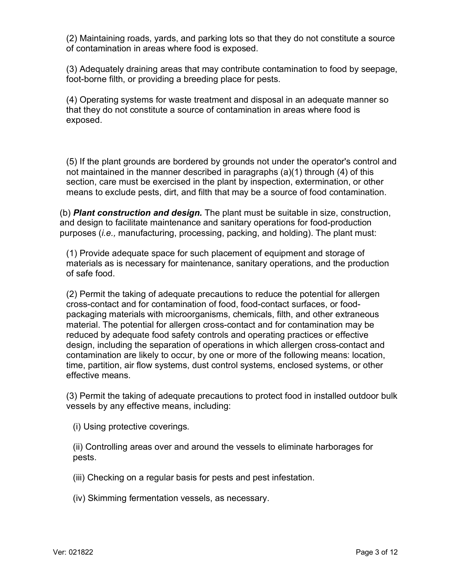(2) Maintaining roads, yards, and parking lots so that they do not constitute a source of contamination in areas where food is exposed.

(3) Adequately draining areas that may contribute contamination to food by seepage, foot-borne filth, or providing a breeding place for pests.

(4) Operating systems for waste treatment and disposal in an adequate manner so that they do not constitute a source of contamination in areas where food is exposed.

 section, care must be exercised in the plant by inspection, extermination, or other (5) If the plant grounds are bordered by grounds not under the operator's control and not maintained in the manner described in paragraphs (a)(1) through (4) of this means to exclude pests, dirt, and filth that may be a source of food contamination.

 purposes (*i.e.,* manufacturing, processing, packing, and holding). The plant must: (b) *Plant construction and design.* The plant must be suitable in size, construction, and design to facilitate maintenance and sanitary operations for food-production

(1) Provide adequate space for such placement of equipment and storage of materials as is necessary for maintenance, sanitary operations, and the production of safe food.

 design, including the separation of operations in which allergen cross-contact and time, partition, air flow systems, dust control systems, enclosed systems, or other (2) Permit the taking of adequate precautions to reduce the potential for allergen cross-contact and for contamination of food, food-contact surfaces, or foodpackaging materials with microorganisms, chemicals, filth, and other extraneous material. The potential for allergen cross-contact and for contamination may be reduced by adequate food safety controls and operating practices or effective contamination are likely to occur, by one or more of the following means: location, effective means.

 (3) Permit the taking of adequate precautions to protect food in installed outdoor bulk vessels by any effective means, including:

(i) Using protective coverings.

pests. (ii) Controlling areas over and around the vessels to eliminate harborages for

(iii) Checking on a regular basis for pests and pest infestation.

(iv) Skimming fermentation vessels, as necessary.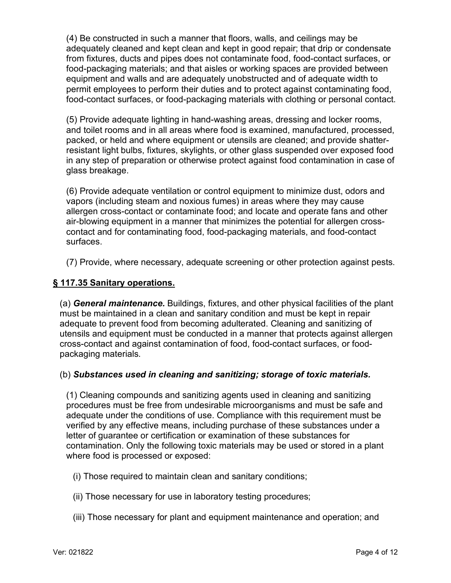(4) Be constructed in such a manner that floors, walls, and ceilings may be adequately cleaned and kept clean and kept in good repair; that drip or condensate from fixtures, ducts and pipes does not contaminate food, food-contact surfaces, or food-packaging materials; and that aisles or working spaces are provided between equipment and walls and are adequately unobstructed and of adequate width to permit employees to perform their duties and to protect against contaminating food, food-contact surfaces, or food-packaging materials with clothing or personal contact.

 and toilet rooms and in all areas where food is examined, manufactured, processed, (5) Provide adequate lighting in hand-washing areas, dressing and locker rooms, packed, or held and where equipment or utensils are cleaned; and provide shatterresistant light bulbs, fixtures, skylights, or other glass suspended over exposed food in any step of preparation or otherwise protect against food contamination in case of glass breakage.

surfaces. (6) Provide adequate ventilation or control equipment to minimize dust, odors and vapors (including steam and noxious fumes) in areas where they may cause allergen cross-contact or contaminate food; and locate and operate fans and other air-blowing equipment in a manner that minimizes the potential for allergen crosscontact and for contaminating food, food-packaging materials, and food-contact

(7) Provide, where necessary, adequate screening or other protection against pests.

### **§ 117.35 Sanitary operations.**

(a) *General maintenance.* Buildings, fixtures, and other physical facilities of the plant must be maintained in a clean and sanitary condition and must be kept in repair adequate to prevent food from becoming adulterated. Cleaning and sanitizing of utensils and equipment must be conducted in a manner that protects against allergen cross-contact and against contamination of food, food-contact surfaces, or foodpackaging materials.

#### (b) *Substances used in cleaning and sanitizing; storage of toxic materials.*

(1) Cleaning compounds and sanitizing agents used in cleaning and sanitizing procedures must be free from undesirable microorganisms and must be safe and adequate under the conditions of use. Compliance with this requirement must be verified by any effective means, including purchase of these substances under a letter of guarantee or certification or examination of these substances for contamination. Only the following toxic materials may be used or stored in a plant where food is processed or exposed:

(i) Those required to maintain clean and sanitary conditions;

- (ii) Those necessary for use in laboratory testing procedures;
- (iii) Those necessary for plant and equipment maintenance and operation; and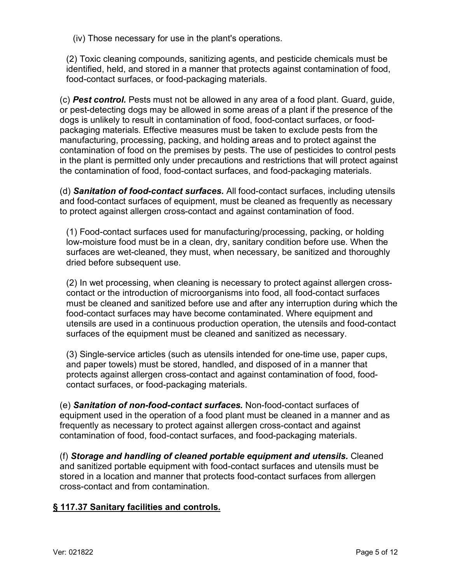(iv) Those necessary for use in the plant's operations.

(2) Toxic cleaning compounds, sanitizing agents, and pesticide chemicals must be identified, held, and stored in a manner that protects against contamination of food, food-contact surfaces, or food-packaging materials.

 (c) *Pest control.* Pests must not be allowed in any area of a food plant. Guard, guide, contamination of food on the premises by pests. The use of pesticides to control pests or pest-detecting dogs may be allowed in some areas of a plant if the presence of the dogs is unlikely to result in contamination of food, food-contact surfaces, or foodpackaging materials. Effective measures must be taken to exclude pests from the manufacturing, processing, packing, and holding areas and to protect against the in the plant is permitted only under precautions and restrictions that will protect against the contamination of food, food-contact surfaces, and food-packaging materials.

(d) *Sanitation of food-contact surfaces.* All food-contact surfaces, including utensils and food-contact surfaces of equipment, must be cleaned as frequently as necessary to protect against allergen cross-contact and against contamination of food.

(1) Food-contact surfaces used for manufacturing/processing, packing, or holding low-moisture food must be in a clean, dry, sanitary condition before use. When the surfaces are wet-cleaned, they must, when necessary, be sanitized and thoroughly dried before subsequent use.

(2) In wet processing, when cleaning is necessary to protect against allergen crosscontact or the introduction of microorganisms into food, all food-contact surfaces must be cleaned and sanitized before use and after any interruption during which the food-contact surfaces may have become contaminated. Where equipment and utensils are used in a continuous production operation, the utensils and food-contact surfaces of the equipment must be cleaned and sanitized as necessary.

(3) Single-service articles (such as utensils intended for one-time use, paper cups, and paper towels) must be stored, handled, and disposed of in a manner that protects against allergen cross-contact and against contamination of food, foodcontact surfaces, or food-packaging materials.

(e) *Sanitation of non-food-contact surfaces.* Non-food-contact surfaces of equipment used in the operation of a food plant must be cleaned in a manner and as frequently as necessary to protect against allergen cross-contact and against contamination of food, food-contact surfaces, and food-packaging materials.

(f) *Storage and handling of cleaned portable equipment and utensils.* Cleaned and sanitized portable equipment with food-contact surfaces and utensils must be stored in a location and manner that protects food-contact surfaces from allergen cross-contact and from contamination.

## <span id="page-4-0"></span>**§ 117.37 Sanitary facilities and controls.**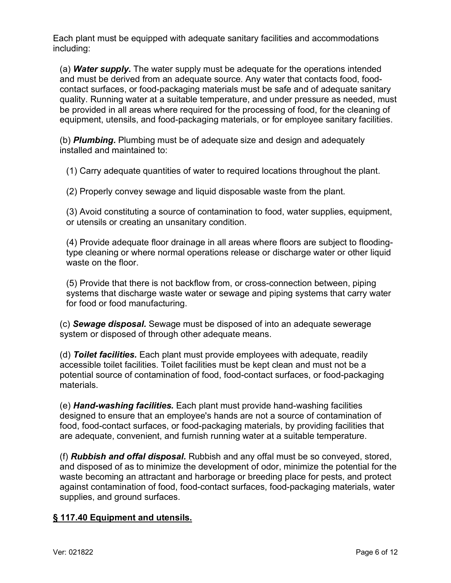Each plant must be equipped with adequate sanitary facilities and accommodations including:

 equipment, utensils, and food-packaging materials, or for employee sanitary facilities. (a) *Water supply.* The water supply must be adequate for the operations intended and must be derived from an adequate source. Any water that contacts food, foodcontact surfaces, or food-packaging materials must be safe and of adequate sanitary quality. Running water at a suitable temperature, and under pressure as needed, must be provided in all areas where required for the processing of food, for the cleaning of

(b) *Plumbing.* Plumbing must be of adequate size and design and adequately installed and maintained to:

(1) Carry adequate quantities of water to required locations throughout the plant.

(2) Properly convey sewage and liquid disposable waste from the plant.

(3) Avoid constituting a source of contamination to food, water supplies, equipment, or utensils or creating an unsanitary condition.

(4) Provide adequate floor drainage in all areas where floors are subject to floodingtype cleaning or where normal operations release or discharge water or other liquid waste on the floor

(5) Provide that there is not backflow from, or cross-connection between, piping systems that discharge waste water or sewage and piping systems that carry water for food or food manufacturing.

(c) *Sewage disposal.* Sewage must be disposed of into an adequate sewerage system or disposed of through other adequate means.

 (d) *Toilet facilities.* Each plant must provide employees with adequate, readily accessible toilet facilities. Toilet facilities must be kept clean and must not be a potential source of contamination of food, food-contact surfaces, or food-packaging materials.

(e) *Hand-washing facilities.* Each plant must provide hand-washing facilities designed to ensure that an employee's hands are not a source of contamination of food, food-contact surfaces, or food-packaging materials, by providing facilities that are adequate, convenient, and furnish running water at a suitable temperature.

 against contamination of food, food-contact surfaces, food-packaging materials, water (f) *Rubbish and offal disposal.* Rubbish and any offal must be so conveyed, stored, and disposed of as to minimize the development of odor, minimize the potential for the waste becoming an attractant and harborage or breeding place for pests, and protect supplies, and ground surfaces.

## <span id="page-5-0"></span>**§ 117.40 Equipment and utensils.**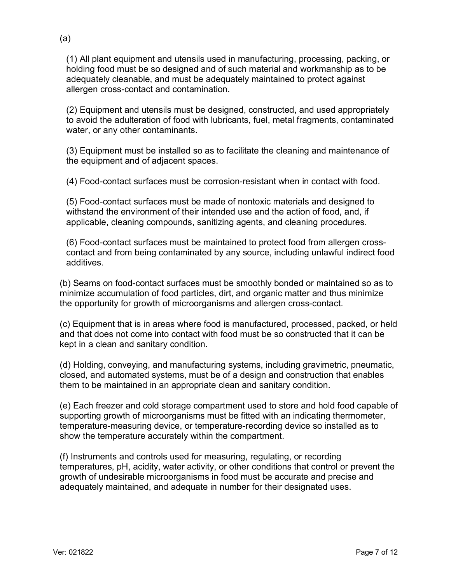(1) All plant equipment and utensils used in manufacturing, processing, packing, or adequately cleanable, and must be adequately maintained to protect against holding food must be so designed and of such material and workmanship as to be allergen cross-contact and contamination.

(2) Equipment and utensils must be designed, constructed, and used appropriately to avoid the adulteration of food with lubricants, fuel, metal fragments, contaminated water, or any other contaminants.

(3) Equipment must be installed so as to facilitate the cleaning and maintenance of the equipment and of adjacent spaces.

(4) Food-contact surfaces must be corrosion-resistant when in contact with food.

(5) Food-contact surfaces must be made of nontoxic materials and designed to withstand the environment of their intended use and the action of food, and, if applicable, cleaning compounds, sanitizing agents, and cleaning procedures.

(6) Food-contact surfaces must be maintained to protect food from allergen crosscontact and from being contaminated by any source, including unlawful indirect food additives.

(b) Seams on food-contact surfaces must be smoothly bonded or maintained so as to minimize accumulation of food particles, dirt, and organic matter and thus minimize the opportunity for growth of microorganisms and allergen cross-contact.

(c) Equipment that is in areas where food is manufactured, processed, packed, or held and that does not come into contact with food must be so constructed that it can be kept in a clean and sanitary condition.

(d) Holding, conveying, and manufacturing systems, including gravimetric, pneumatic, closed, and automated systems, must be of a design and construction that enables them to be maintained in an appropriate clean and sanitary condition.

(e) Each freezer and cold storage compartment used to store and hold food capable of supporting growth of microorganisms must be fitted with an indicating thermometer, temperature-measuring device, or temperature-recording device so installed as to show the temperature accurately within the compartment.

 temperatures, pH, acidity, water activity, or other conditions that control or prevent the (f) Instruments and controls used for measuring, regulating, or recording growth of undesirable microorganisms in food must be accurate and precise and adequately maintained, and adequate in number for their designated uses.

(a)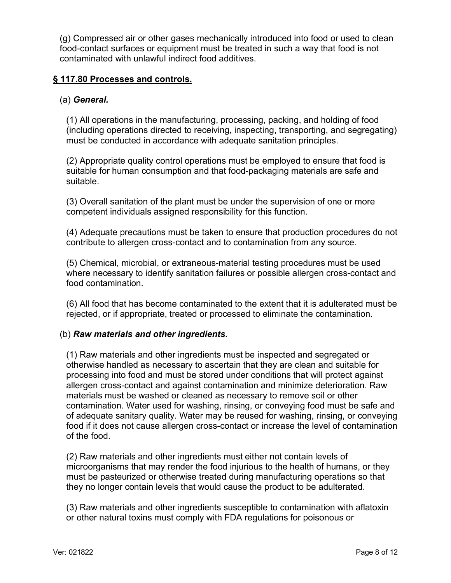(g) Compressed air or other gases mechanically introduced into food or used to clean food-contact surfaces or equipment must be treated in such a way that food is not contaminated with unlawful indirect food additives.

#### **§ 117.80 Processes and controls.**

## <span id="page-7-0"></span>(a) *General.*

(1) All operations in the manufacturing, processing, packing, and holding of food (including operations directed to receiving, inspecting, transporting, and segregating) must be conducted in accordance with adequate sanitation principles.

 (2) Appropriate quality control operations must be employed to ensure that food is suitable for human consumption and that food-packaging materials are safe and suitable.

(3) Overall sanitation of the plant must be under the supervision of one or more competent individuals assigned responsibility for this function.

(4) Adequate precautions must be taken to ensure that production procedures do not contribute to allergen cross-contact and to contamination from any source.

(5) Chemical, microbial, or extraneous-material testing procedures must be used where necessary to identify sanitation failures or possible allergen cross-contact and food contamination.

(6) All food that has become contaminated to the extent that it is adulterated must be rejected, or if appropriate, treated or processed to eliminate the contamination.

### (b) *Raw materials and other ingredients.*

(1) Raw materials and other ingredients must be inspected and segregated or otherwise handled as necessary to ascertain that they are clean and suitable for processing into food and must be stored under conditions that will protect against allergen cross-contact and against contamination and minimize deterioration. Raw materials must be washed or cleaned as necessary to remove soil or other contamination. Water used for washing, rinsing, or conveying food must be safe and of adequate sanitary quality. Water may be reused for washing, rinsing, or conveying food if it does not cause allergen cross-contact or increase the level of contamination of the food.

(2) Raw materials and other ingredients must either not contain levels of microorganisms that may render the food injurious to the health of humans, or they must be pasteurized or otherwise treated during manufacturing operations so that they no longer contain levels that would cause the product to be adulterated.

(3) Raw materials and other ingredients susceptible to contamination with aflatoxin or other natural toxins must comply with FDA regulations for poisonous or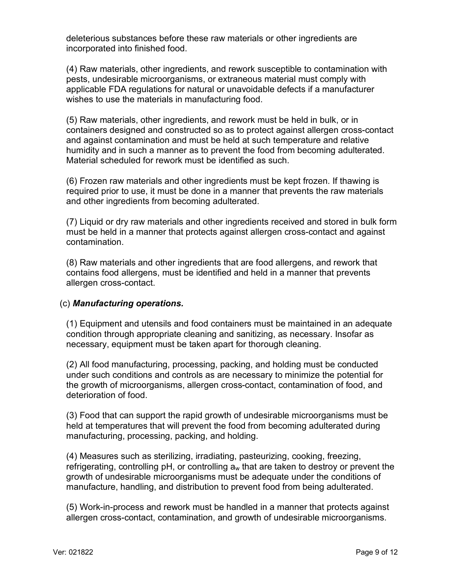deleterious substances before these raw materials or other ingredients are incorporated into finished food.

 applicable FDA regulations for natural or unavoidable defects if a manufacturer (4) Raw materials, other ingredients, and rework susceptible to contamination with pests, undesirable microorganisms, or extraneous material must comply with wishes to use the materials in manufacturing food.

 Material scheduled for rework must be identified as such. (5) Raw materials, other ingredients, and rework must be held in bulk, or in containers designed and constructed so as to protect against allergen cross-contact and against contamination and must be held at such temperature and relative humidity and in such a manner as to prevent the food from becoming adulterated.

(6) Frozen raw materials and other ingredients must be kept frozen. If thawing is required prior to use, it must be done in a manner that prevents the raw materials and other ingredients from becoming adulterated.

(7) Liquid or dry raw materials and other ingredients received and stored in bulk form must be held in a manner that protects against allergen cross-contact and against contamination.

(8) Raw materials and other ingredients that are food allergens, and rework that contains food allergens, must be identified and held in a manner that prevents allergen cross-contact.

### (c) *Manufacturing operations.*

(1) Equipment and utensils and food containers must be maintained in an adequate condition through appropriate cleaning and sanitizing, as necessary. Insofar as necessary, equipment must be taken apart for thorough cleaning.

(2) All food manufacturing, processing, packing, and holding must be conducted under such conditions and controls as are necessary to minimize the potential for the growth of microorganisms, allergen cross-contact, contamination of food, and deterioration of food.

 manufacturing, processing, packing, and holding. (3) Food that can support the rapid growth of undesirable microorganisms must be held at temperatures that will prevent the food from becoming adulterated during

(4) Measures such as sterilizing, irradiating, pasteurizing, cooking, freezing, refrigerating, controlling  $pH$ , or controlling  $a_w$  that are taken to destroy or prevent the growth of undesirable microorganisms must be adequate under the conditions of manufacture, handling, and distribution to prevent food from being adulterated.

(5) Work-in-process and rework must be handled in a manner that protects against allergen cross-contact, contamination, and growth of undesirable microorganisms.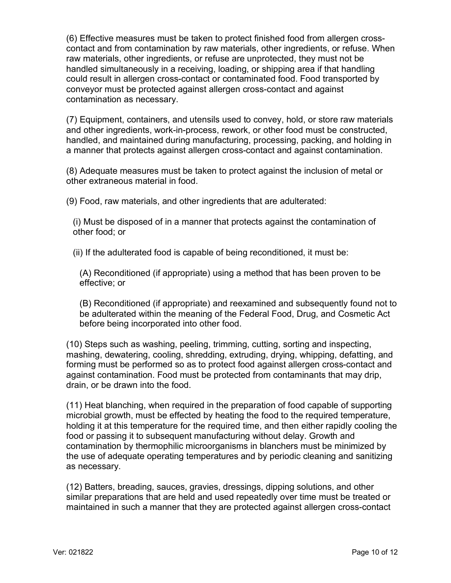(6) Effective measures must be taken to protect finished food from allergen crosscontact and from contamination by raw materials, other ingredients, or refuse. When raw materials, other ingredients, or refuse are unprotected, they must not be handled simultaneously in a receiving, loading, or shipping area if that handling could result in allergen cross-contact or contaminated food. Food transported by conveyor must be protected against allergen cross-contact and against contamination as necessary.

(7) Equipment, containers, and utensils used to convey, hold, or store raw materials and other ingredients, work-in-process, rework, or other food must be constructed, handled, and maintained during manufacturing, processing, packing, and holding in a manner that protects against allergen cross-contact and against contamination.

(8) Adequate measures must be taken to protect against the inclusion of metal or other extraneous material in food.

(9) Food, raw materials, and other ingredients that are adulterated:

(i) Must be disposed of in a manner that protects against the contamination of other food; or

(ii) If the adulterated food is capable of being reconditioned, it must be:

(A) Reconditioned (if appropriate) using a method that has been proven to be effective; or

(B) Reconditioned (if appropriate) and reexamined and subsequently found not to be adulterated within the meaning of the Federal Food, Drug, and Cosmetic Act before being incorporated into other food.

(10) Steps such as washing, peeling, trimming, cutting, sorting and inspecting, mashing, dewatering, cooling, shredding, extruding, drying, whipping, defatting, and forming must be performed so as to protect food against allergen cross-contact and against contamination. Food must be protected from contaminants that may drip, drain, or be drawn into the food.

(11) Heat blanching, when required in the preparation of food capable of supporting microbial growth, must be effected by heating the food to the required temperature, holding it at this temperature for the required time, and then either rapidly cooling the food or passing it to subsequent manufacturing without delay. Growth and contamination by thermophilic microorganisms in blanchers must be minimized by the use of adequate operating temperatures and by periodic cleaning and sanitizing as necessary.

 (12) Batters, breading, sauces, gravies, dressings, dipping solutions, and other similar preparations that are held and used repeatedly over time must be treated or maintained in such a manner that they are protected against allergen cross-contact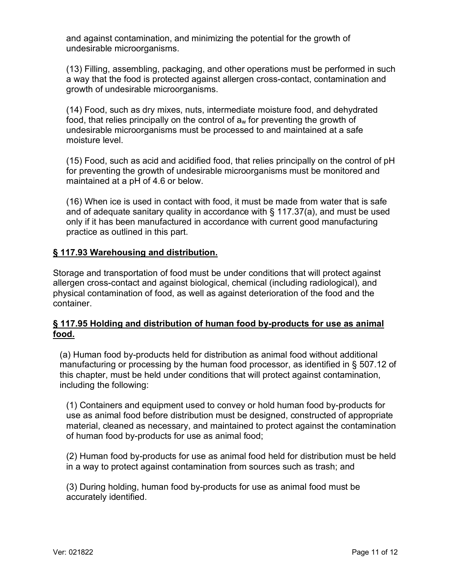and against contamination, and minimizing the potential for the growth of undesirable microorganisms.

(13) Filling, assembling, packaging, and other operations must be performed in such a way that the food is protected against allergen cross-contact, contamination and growth of undesirable microorganisms.

(14) Food, such as dry mixes, nuts, intermediate moisture food, and dehydrated food, that relies principally on the control of  $a_w$  for preventing the growth of undesirable microorganisms must be processed to and maintained at a safe moisture level.

 (15) Food, such as acid and acidified food, that relies principally on the control of pH for preventing the growth of undesirable microorganisms must be monitored and maintained at a pH of 4.6 or below.

(16) When ice is used in contact with food, it must be made from water that is safe and of adequate sanitary quality in accordance with § 117.37(a), and must be used only if it has been manufactured in accordance with current good manufacturing practice as outlined in this part.

### <span id="page-10-0"></span>**§ 117.93 Warehousing and distribution.**

Storage and transportation of food must be under conditions that will protect against allergen cross-contact and against biological, chemical (including radiological), and physical contamination of food, as well as against deterioration of the food and the container.

### <span id="page-10-1"></span>**§ 117.95 Holding and distribution of human food by-products for use as animal food.**

(a) Human food by-products held for distribution as animal food without additional manufacturing or processing by the human food processor, as identified in § 507.12 of this chapter, must be held under conditions that will protect against contamination, including the following:

(1) Containers and equipment used to convey or hold human food by-products for use as animal food before distribution must be designed, constructed of appropriate material, cleaned as necessary, and maintained to protect against the contamination of human food by-products for use as animal food;

 (2) Human food by-products for use as animal food held for distribution must be held in a way to protect against contamination from sources such as trash; and

(3) During holding, human food by-products for use as animal food must be accurately identified.